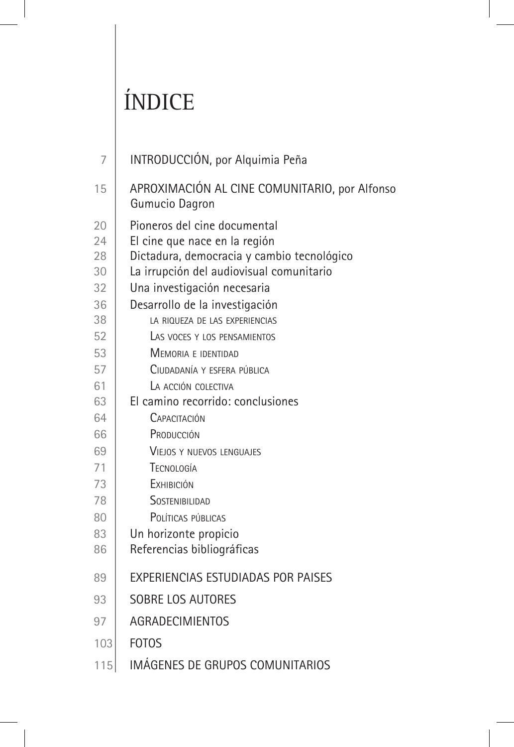## ÍNDICE

| 7   | INTRODUCCIÓN, por Alquimia Peña                                 |
|-----|-----------------------------------------------------------------|
| 15  | APROXIMACIÓN AL CINE COMUNITARIO, por Alfonso<br>Gumucio Dagron |
| 20  | Pioneros del cine documental                                    |
| 24  | El cine que nace en la región                                   |
| 28  | Dictadura, democracia y cambio tecnológico                      |
| 30  | La irrupción del audiovisual comunitario                        |
| 32  | Una investigación necesaria                                     |
| 36  | Desarrollo de la investigación                                  |
| 38  | LA RIQUEZA DE LAS EXPERIENCIAS                                  |
| 52  | LAS VOCES Y LOS PENSAMIENTOS                                    |
| 53  | MEMORIA E IDENTIDAD                                             |
| 57  | CIUDADANÍA Y ESFERA PÚBLICA                                     |
| 61  | LA ACCIÓN COLECTIVA                                             |
| 63  | El camino recorrido: conclusiones                               |
| 64  | CAPACITACIÓN                                                    |
| 66  | PRODUCCIÓN                                                      |
| 69  | <b>VIEJOS Y NUEVOS LENGUAJES</b>                                |
| 71  | TECNOLOGÍA                                                      |
| 73  | <b>F</b> XHIBICIÓN                                              |
| 78  | SOSTENIBILIDAD                                                  |
| 80  | POLÍTICAS PÚBLICAS                                              |
| 83  | Un horizonte propicio                                           |
| 86  | Referencias bibliográficas                                      |
| 89  | EXPERIENCIAS ESTUDIADAS POR PAISES                              |
| 93  | <b>SOBRE LOS AUTORES</b>                                        |
| 97  | <b>AGRADECIMIENTOS</b>                                          |
| 103 | <b>FOTOS</b>                                                    |
| 115 | IMÁGENES DE GRUPOS COMUNITARIOS                                 |